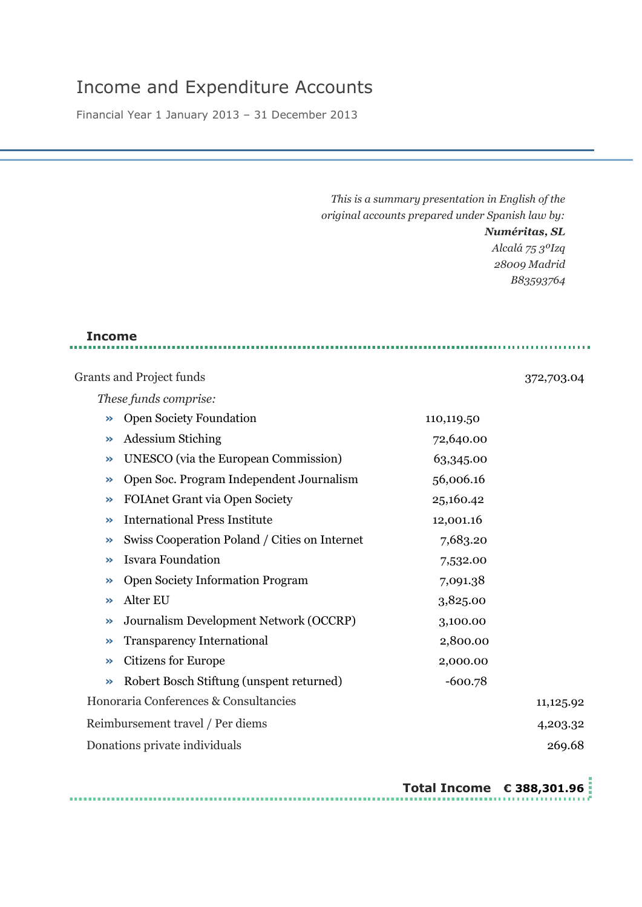## Income and Expenditure Accounts

Financial Year 1 January 2013 – 31 December 2013

*This is a summary presentation in English of the original accounts prepared under Spanish law by: Numéritas, SL Alcalá 75 3ºIzq 28009 Madrid B83593764*

#### **Income**

### Grants and Project funds 372,703.04

| These funds comprise:                                          |            |           |
|----------------------------------------------------------------|------------|-----------|
| <b>Open Society Foundation</b><br>$\rightarrow$                | 110,119.50 |           |
| Adessium Stiching<br>$\rightarrow$                             | 72,640.00  |           |
| UNESCO (via the European Commission)<br>$\rightarrow$          | 63,345.00  |           |
| Open Soc. Program Independent Journalism<br>$\rightarrow$      | 56,006.16  |           |
| FOIAnet Grant via Open Society<br>≫                            | 25,160.42  |           |
| <b>International Press Institute</b><br>≫                      | 12,001.16  |           |
| Swiss Cooperation Poland / Cities on Internet<br>$\rightarrow$ | 7,683.20   |           |
| <b>Isvara Foundation</b><br>$\rightarrow$                      | 7,532.00   |           |
| <b>Open Society Information Program</b><br>$\rightarrow$       | 7,091.38   |           |
| Alter EU<br>$\rightarrow$                                      | 3,825.00   |           |
| Journalism Development Network (OCCRP)<br>$\rightarrow$        | 3,100.00   |           |
| <b>Transparency International</b><br>≫                         | 2,800.00   |           |
| <b>Citizens for Europe</b><br>≫                                | 2,000.00   |           |
| Robert Bosch Stiftung (unspent returned)<br>$\rightarrow$      | $-600.78$  |           |
| Honoraria Conferences & Consultancies                          |            | 11,125.92 |
| Reimbursement travel / Per diems                               |            | 4,203.32  |
| Donations private individuals                                  |            | 269.68    |
|                                                                |            |           |

**Total Income € 388,301.96**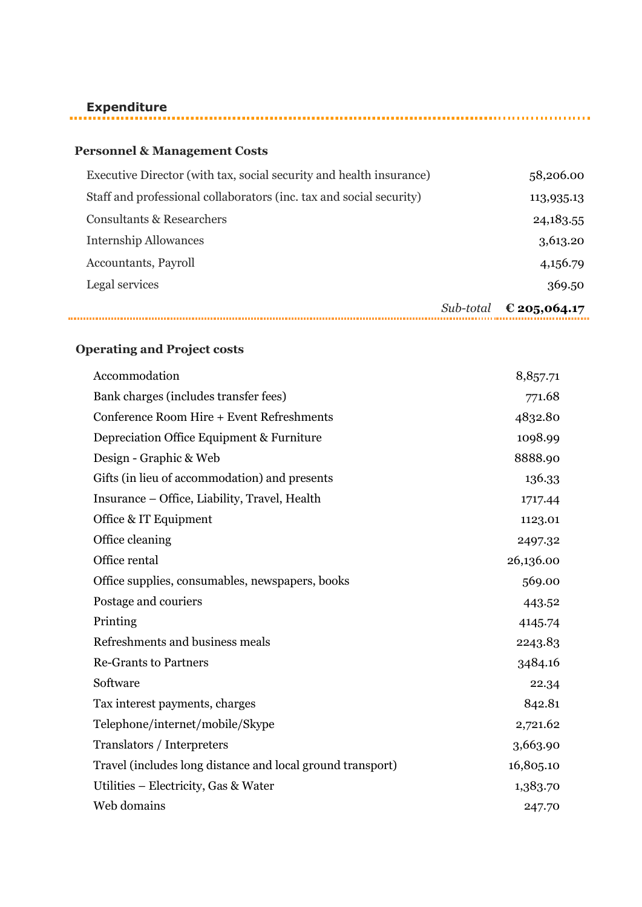# **Expenditure**

## **Personnel & Management Costs**

| Executive Director (with tax, social security and health insurance) |           | 58,206.00    |
|---------------------------------------------------------------------|-----------|--------------|
| Staff and professional collaborators (inc. tax and social security) |           | 113,935.13   |
| <b>Consultants &amp; Researchers</b>                                |           | 24, 183. 55  |
| <b>Internship Allowances</b>                                        |           | 3,613.20     |
| Accountants, Payroll                                                |           | 4,156.79     |
| Legal services                                                      |           | 369.50       |
|                                                                     | Sub-total | € 205,064.17 |

## **Operating and Project costs**

| Accommodation                                              | 8,857.71  |
|------------------------------------------------------------|-----------|
| Bank charges (includes transfer fees)                      | 771.68    |
| Conference Room Hire + Event Refreshments                  | 4832.80   |
| Depreciation Office Equipment & Furniture                  | 1098.99   |
| Design - Graphic & Web                                     | 8888.90   |
| Gifts (in lieu of accommodation) and presents              | 136.33    |
| Insurance - Office, Liability, Travel, Health              | 1717.44   |
| Office & IT Equipment                                      | 1123.01   |
| Office cleaning                                            | 2497.32   |
| Office rental                                              | 26,136.00 |
| Office supplies, consumables, newspapers, books            | 569.00    |
| Postage and couriers                                       | 443.52    |
| Printing                                                   | 4145.74   |
| Refreshments and business meals                            | 2243.83   |
| <b>Re-Grants to Partners</b>                               | 3484.16   |
| Software                                                   | 22.34     |
| Tax interest payments, charges                             | 842.81    |
| Telephone/internet/mobile/Skype                            | 2,721.62  |
| Translators / Interpreters                                 | 3,663.90  |
| Travel (includes long distance and local ground transport) | 16,805.10 |
| Utilities – Electricity, Gas & Water                       | 1,383.70  |
| Web domains                                                | 247.70    |